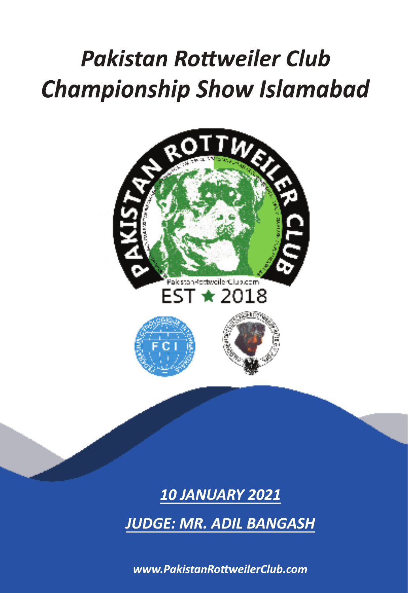# *Championship Show Islamabad Pakistan Rottweiler Club*



### **10 JANUARY 2021**

**JUDGE: MR. ADIL BANGASH** 

*www.PakistanRottweilerClub.com www.PakistanRottweilerClub.com*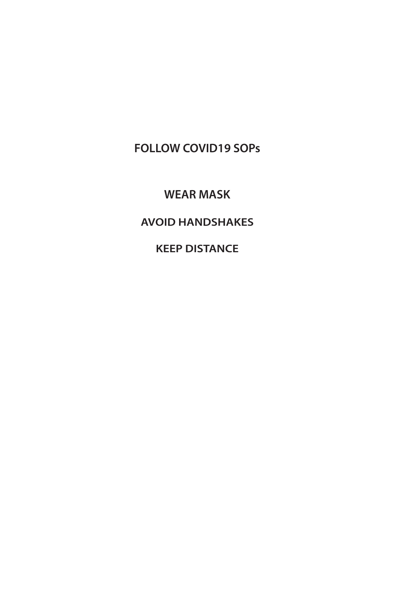**FOLLOW COVID19 SOPs**

**WEAR MASK**

**AVOID HANDSHAKES**

**KEEP DISTANCE**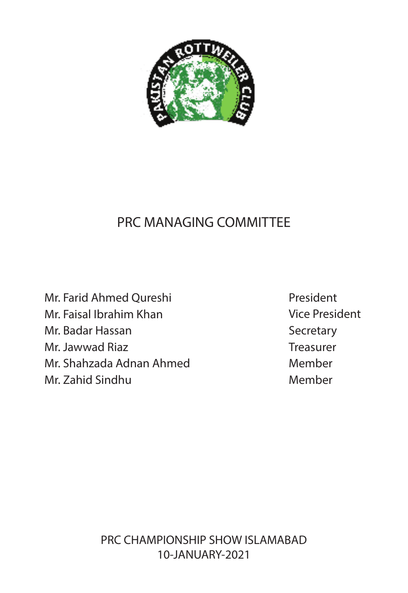

### PRC MANAGING COMMITTEE

Mr. Farid Ahmed Qureshi Mr. Faisal Ibrahim Khan Mr. Badar Hassan Mr. Jawwad Riaz Mr. Shahzada Adnan Ahmed Mr. Zahid Sindhu

President Vice President **Secretary Treasurer** Member Member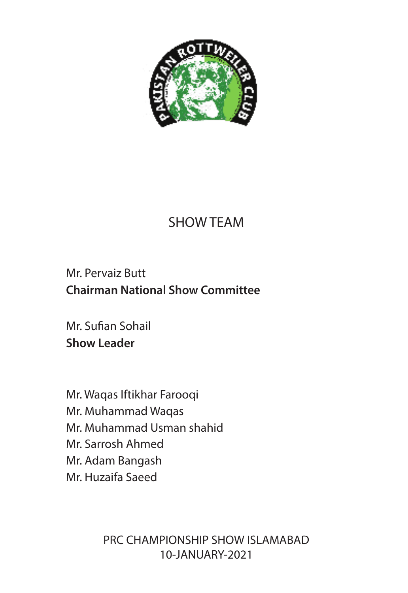

## SHOW TEAM

### Mr. Pervaiz Butt **Chairman National Show Committee**

Mr. Sufian Sohail **Show Leader** 

Mr. Waqas Iftikhar Farooqi Mr. Muhammad Waqas Mr. Muhammad Usman shahid Mr. Sarrosh Ahmed Mr. Adam Bangash Mr. Huzaifa Saeed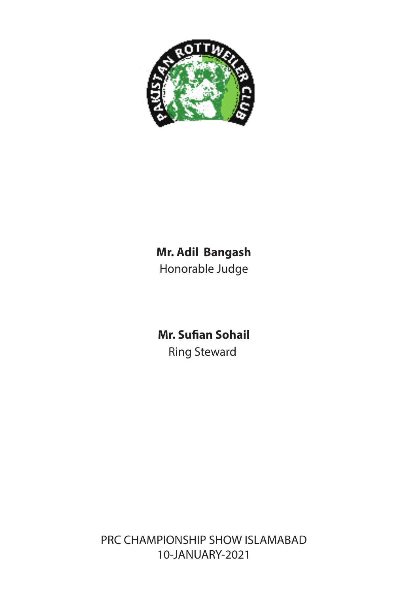

# **Mr. Adil Bangash**

Honorable Judge

**Mr. Sufian Sohail** Ring Steward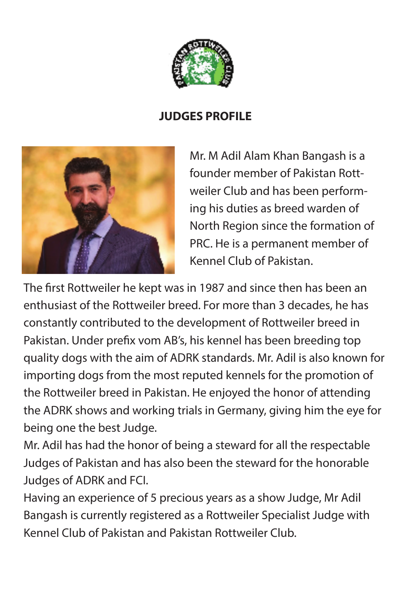

### **JUDGES PROFILE**



Mr. M Adil Alam Khan Bangash is a founder member of Pakistan Rottweiler Club and has been performing his duties as breed warden of North Region since the formation of PRC. He is a permanent member of Kennel Club of Pakistan.

The first Rottweiler he kept was in 1987 and since then has been an enthusiast of the Rottweiler breed. For more than 3 decades, he has constantly contributed to the development of Rottweiler breed in Pakistan. Under prefix vom AB's, his kennel has been breeding top quality dogs with the aim of ADRK standards. Mr. Adil is also known for importing dogs from the most reputed kennels for the promotion of the Rottweiler breed in Pakistan. He enjoyed the honor of attending the ADRK shows and working trials in Germany, giving him the eye for being one the best Judge.

Mr. Adil has had the honor of being a steward for all the respectable Judges of Pakistan and has also been the steward for the honorable Judges of ADRK and FCI.

Having an experience of 5 precious years as a show Judge, Mr Adil Bangash is currently registered as a Rottweiler Specialist Judge with Kennel Club of Pakistan and Pakistan Rottweiler Club.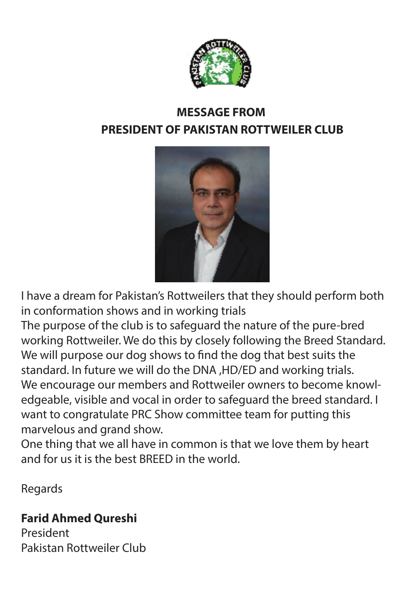

### **MESSAGE FROM PRESIDENT OF PAKISTAN ROTTWEILER CLUB**



I have a dream for Pakistan's Rottweilers that they should perform both in conformation shows and in working trials

The purpose of the club is to safeguard the nature of the pure-bred working Rottweiler. We do this by closely following the Breed Standard. We will purpose our dog shows to find the dog that best suits the standard. In future we will do the DNA ,HD/ED and working trials. We encourage our members and Rottweiler owners to become knowledgeable, visible and vocal in order to safeguard the breed standard. I want to congratulate PRC Show committee team for putting this marvelous and grand show.

One thing that we all have in common is that we love them by heart and for us it is the best BREED in the world.

Regards

### **Farid Ahmed Qureshi**

President Pakistan Rottweiler Club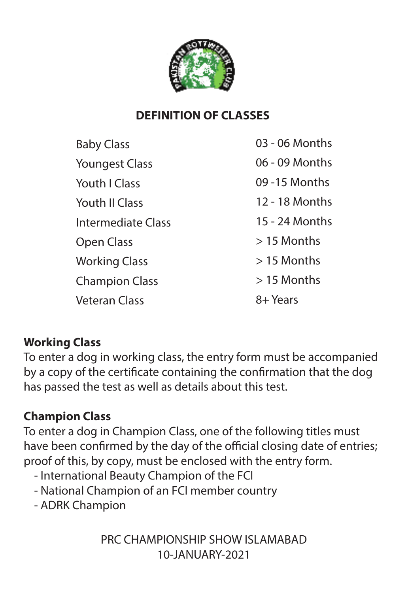

### **DEFINITION OF CLASSES**

| <b>Baby Class</b>         | 03 - 06 Months |
|---------------------------|----------------|
| <b>Youngest Class</b>     | 06 - 09 Months |
| Youth I Class             | 09 - 15 Months |
| Youth II Class            | 12 - 18 Months |
| <b>Intermediate Class</b> | 15 - 24 Months |
| Open Class                | $>$ 15 Months  |
| <b>Working Class</b>      | $>$ 15 Months  |
| <b>Champion Class</b>     | $>$ 15 Months  |
| <b>Veteran Class</b>      | 8+ Years       |

### **Working Class**

To enter a dog in working class, the entry form must be accompanied by a copy of the certificate containing the confirmation that the dog has passed the test as well as details about this test.

### **Champion Class**

To enter a dog in Champion Class, one of the following titles must have been confirmed by the day of the official closing date of entries; proof of this, by copy, must be enclosed with the entry form.

- International Beauty Champion of the FCI
- National Champion of an FCI member country
- ADRK Champion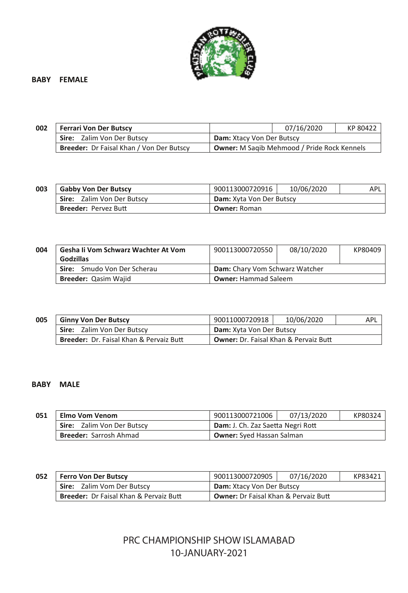

#### **BABY FEMALE**

| 002 | <b>Ferrari Von Der Butscy</b>                   |                                                    | 07/16/2020 | KP 80422 |
|-----|-------------------------------------------------|----------------------------------------------------|------------|----------|
|     | Sire: Zalim Von Der Butscy                      | <b>Dam: Xtacy Von Der Butscy</b>                   |            |          |
|     | <b>Breeder:</b> Dr Faisal Khan / Von Der Butscy | <b>Owner:</b> M Sagib Mehmood / Pride Rock Kennels |            |          |

| 003 | <b>Gabby Von Der Butscy</b>       | 900113000720916                 | 10/06/2020 | APL |
|-----|-----------------------------------|---------------------------------|------------|-----|
|     | <b>Sire:</b> Zalim Von Der Butscy | <b>Dam:</b> Xyta Von Der Butscy |            |     |
|     | <b>Breeder: Pervez Butt</b>       | <b>Owner: Roman</b>             |            |     |

| 004 | Gesha Ii Vom Schwarz Wachter At Vom | 900113000720550                | 08/10/2020 | KP80409 |
|-----|-------------------------------------|--------------------------------|------------|---------|
|     | Godzillas                           |                                |            |         |
|     | <b>Sire:</b> Smudo Von Der Scherau  | Dam: Chary Vom Schwarz Watcher |            |         |
|     | Breeder: Qasim Wajid                | <b>Owner: Hammad Saleem</b>    |            |         |

| 005 | <b>Ginny Von Der Butscy</b>                                                                        | 90011000720918           | 10/06/2020 | APL |
|-----|----------------------------------------------------------------------------------------------------|--------------------------|------------|-----|
|     | <b>Sire:</b> Zalim Von Der Butscy                                                                  | Dam: Xyta Von Der Butscy |            |     |
|     | <b>Breeder: Dr. Faisal Khan &amp; Pervaiz Butt</b><br><b>Owner:</b> Dr. Faisal Khan & Pervaiz Butt |                          |            |     |

#### **BABY MALE**

| 051 | Elmo Vom Venom                | 900113000721006                   | 07/13/2020 | KP80324 |
|-----|-------------------------------|-----------------------------------|------------|---------|
|     | Sire: Zalim Von Der Butscy    | Dam: J. Ch. Zaz Saetta Negri Rott |            |         |
|     | <b>Breeder:</b> Sarrosh Ahmad | <b>Owner:</b> Syed Hassan Salman  |            |         |

| 052 | <b>Ferro Von Der Butscy</b>                       | 900113000720905                             | 07/16/2020 | KP83421 |
|-----|---------------------------------------------------|---------------------------------------------|------------|---------|
|     | <b>Sire:</b> Zalim Vom Der Butscy                 | <b>Dam:</b> Xtacy Von Der Butscy            |            |         |
|     | <b>Breeder: Dr Faisal Khan &amp; Pervaiz Butt</b> | <b>Owner:</b> Dr Faisal Khan & Pervaiz Butt |            |         |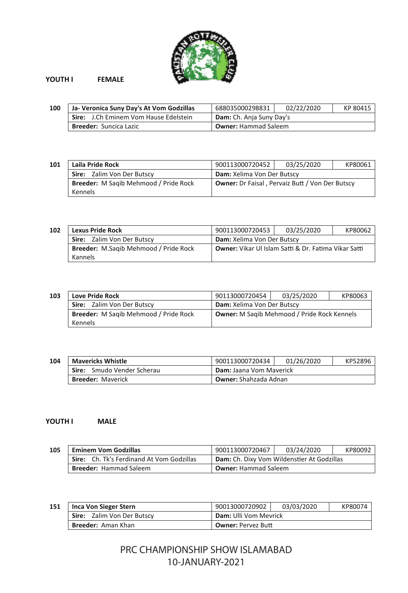

#### **YOUTH I FEMALE**

| 100 | Ja- Veronica Suny Day's At Vom Godzillas | 688035000298831             | 02/22/2020 | KP 80415 |
|-----|------------------------------------------|-----------------------------|------------|----------|
|     | Sire: J.Ch Eminem Vom Hause Edelstein    | Dam: Ch. Anja Suny Day's    |            |          |
|     | Breeder: Suncica Lazic                   | <b>Owner: Hammad Saleem</b> |            |          |

| 101 | Laila Pride Rock                      | 900113000720452                                        | 03/25/2020 | KP80061 |
|-----|---------------------------------------|--------------------------------------------------------|------------|---------|
|     | Sire: Zalim Von Der Butscy            | Dam: Xelima Von Der Butscy                             |            |         |
|     | Breeder: M Sagib Mehmood / Pride Rock | <b>Owner:</b> Dr Faisal, Pervaiz Butt / Von Der Butscy |            |         |
|     | Kennels                               |                                                        |            |         |

| 102 | <b>Lexus Pride Rock</b>               | 900113000720453                                      | 03/25/2020 | KP80062 |
|-----|---------------------------------------|------------------------------------------------------|------------|---------|
|     | Sire: Zalim Von Der Butscy            | Dam: Xelima Von Der Butscy                           |            |         |
|     | Breeder: M.Sagib Mehmood / Pride Rock | Owner: Vikar Ul Islam Satti & Dr. Fatima Vikar Satti |            |         |
|     | Kannels                               |                                                      |            |         |

| 103 | <b>Love Pride Rock</b>                       | 90113000720454                              | 03/25/2020 | KP80063 |
|-----|----------------------------------------------|---------------------------------------------|------------|---------|
|     | Sire: Zalim Von Der Butscy                   | Dam: Xelima Von Der Butscy                  |            |         |
|     | <b>Breeder: M Sagib Mehmood / Pride Rock</b> | Owner: M Sagib Mehmood / Pride Rock Kennels |            |         |
|     | Kennels                                      |                                             |            |         |

#### **104 Mavericks Whistle** 900113000720434 01/26/2020 KP52896 **Sire:** Smudo Vender Scherau **Dam:** Jaana Vom Maverick **Breeder:** Maverick **Owner:** Shahzada Adnan

#### **YOUTH I MALE**

| 105 | <b>Eminem Vom Godzillas</b>               | 900113000720467                            | 03/24/2020 | KP80092 |
|-----|-------------------------------------------|--------------------------------------------|------------|---------|
|     | Sire: Ch. Tk's Ferdinand At Vom Godzillas | Dam: Ch. Dixy Vom Wildenstier At Godzillas |            |         |
|     | <b>Breeder: Hammad Saleem</b>             | <b>Owner: Hammad Saleem</b>                |            |         |

| 151 | Inca Von Sieger Stern      | 90013000720902               | 03/03/2020 | KP80074 |
|-----|----------------------------|------------------------------|------------|---------|
|     | Sire: Zalim Von Der Butscy | <b>Dam: Ulli Vom Mevrick</b> |            |         |
|     | <b>Breeder:</b> Aman Khan  | <b>Owner: Pervez Butt</b>    |            |         |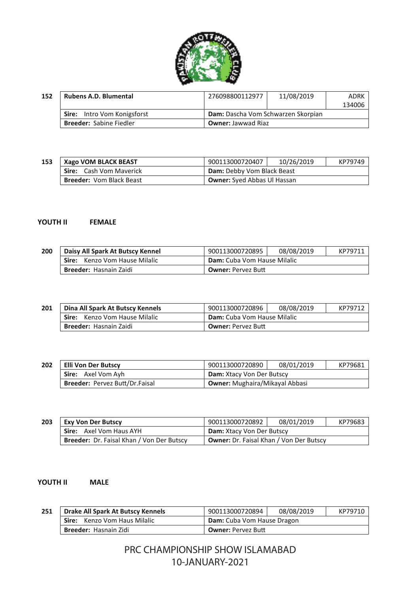

| 152 | <b>Rubens A.D. Blumental</b>   | 276098800112977                           | 11/08/2019 | ADRK   |
|-----|--------------------------------|-------------------------------------------|------------|--------|
|     |                                |                                           |            | 134006 |
|     | Sire: Intro Vom Konigsforst    | <b>Dam:</b> Dascha Vom Schwarzen Skorpian |            |        |
|     | <b>Breeder: Sabine Fiedler</b> | <b>Owner: Jawwad Riaz</b>                 |            |        |

#### **153 Xago VOM BLACK BEAST** 900113000720407 10/26/2019 KP79749 **Sire:** Cash Vom Maverick **Dam:** Debby Vom Black Beast **Breeder:** Vom Black Beast **Owner:** Syed Abbas Ul Hassan

#### **YOUTH II FEMALE**

| 200 | Daisy All Spark At Butscy Kennel | 900113000720895             | 08/08/2019 | KP79711 |
|-----|----------------------------------|-----------------------------|------------|---------|
|     | Sire: Kenzo Vom Hause Milalic    | Dam: Cuba Vom Hause Milalic |            |         |
|     | Breeder: Hasnain Zaidi           | <b>Owner: Pervez Butt</b>   |            |         |

| 201 | Dina All Spark At Butscy Kennels | 900113000720896             | 08/08/2019 | KP79712 |
|-----|----------------------------------|-----------------------------|------------|---------|
|     | Sire: Kenzo Vom Hause Milalic    | Dam: Cuba Vom Hause Milalic |            |         |
|     | Breeder: Hasnain Zaidi           | <b>Owner: Pervez Butt</b>   |            |         |

| 202 | Elli Von Der Butscy                   | 900113000720890                       | 08/01/2019 | KP79681 |
|-----|---------------------------------------|---------------------------------------|------------|---------|
|     | Sire: Axel Vom Avh                    | <b>Dam:</b> Xtacy Von Der Butscy      |            |         |
|     | <b>Breeder: Pervez Butt/Dr.Faisal</b> | <b>Owner:</b> Mughaira/Mikayal Abbasi |            |         |

| 203 | Exy Von Der Butscy                               | 900113000720892                                | 08/01/2019 | KP79683 |
|-----|--------------------------------------------------|------------------------------------------------|------------|---------|
|     | Sire: Axel Vom Haus AYH                          | Dam: Xtacy Von Der Butscy                      |            |         |
|     | <b>Breeder: Dr. Faisal Khan / Von Der Butscy</b> | <b>Owner:</b> Dr. Faisal Khan / Von Der Butscy |            |         |

#### **YOUTH II MALE**

| 251 | Drake All Spark At Butscy Kennels | 900113000720894            | 08/08/2019 | KP79710 |
|-----|-----------------------------------|----------------------------|------------|---------|
|     | Sire: Kenzo Vom Haus Milalic      | Dam: Cuba Vom Hause Dragon |            |         |
|     | Breeder: Hasnain Zidi             | <b>Owner: Pervez Butt</b>  |            |         |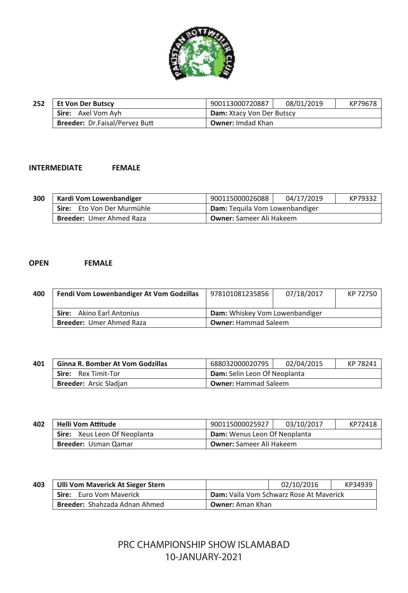

| 252 | <b>Et Von Der Butscy</b>              | 900113000720887           | 08/01/2019 | KP79678 |
|-----|---------------------------------------|---------------------------|------------|---------|
|     | <b>Sire:</b> Axel Vom Avh             | Dam: Xtacy Von Der Butscy |            |         |
|     | <b>Breeder: Dr.Faisal/Pervez Butt</b> | <b>Owner:</b> Imdad Khan  |            |         |

#### **INTERMEDIATE FEMALE**

| 300 | Kardi Vom Lowenbandiger         | 900115000026088                 | 04/17/2019 | KP79332 |
|-----|---------------------------------|---------------------------------|------------|---------|
|     | Sire: Eto Von Der Murmühle      | Dam: Tequila Vom Lowenbandiger  |            |         |
|     | <b>Breeder: Umer Ahmed Raza</b> | <b>Owner:</b> Sameer Ali Hakeem |            |         |

#### **OPEN FEMALE**

| 400 | Fendi Vom Lowenbandiger At Vom Godzillas | 978101081235856                | 07/18/2017 | KP 72750 |
|-----|------------------------------------------|--------------------------------|------------|----------|
|     | <b>Sire:</b> Akino Earl Antonius         | Dam: Whiskey Vom Lowenbandiger |            |          |
|     | <b>Breeder: Umer Ahmed Raza</b>          | <b>Owner: Hammad Saleem</b>    |            |          |

| 401 | <b>Ginna R. Bomber At Vom Godzillas</b> | 688032000020795              | 02/04/2015 | KP 78241 |
|-----|-----------------------------------------|------------------------------|------------|----------|
|     | <b>Sire:</b> Rex Timit-Tor              | Dam: Selin Leon Of Neoplanta |            |          |
|     | <b>Breeder:</b> Arsic Sladjan           | <b>Owner: Hammad Saleem</b>  |            |          |

| 402 | Helli Vom Attitude           | 900115000025927                     | 03/10/2017 | KP72418 |
|-----|------------------------------|-------------------------------------|------------|---------|
|     | Sire: Xeus Leon Of Neoplanta | <b>Dam:</b> Wenus Leon Of Neoplanta |            |         |
|     | <b>Breeder: Usman Qamar</b>  | <b>Owner:</b> Sameer Ali Hakeem     |            |         |

| 403 | Ulli Vom Maverick At Sieger Stern    |                                                | 02/10/2016 | KP34939 |  |
|-----|--------------------------------------|------------------------------------------------|------------|---------|--|
|     | <b>Sire:</b> Euro Vom Maverick       | <b>Dam:</b> Vaila Vom Schwarz Rose At Maverick |            |         |  |
|     | <b>Breeder: Shahzada Adnan Ahmed</b> | <b>Owner:</b> Aman Khan                        |            |         |  |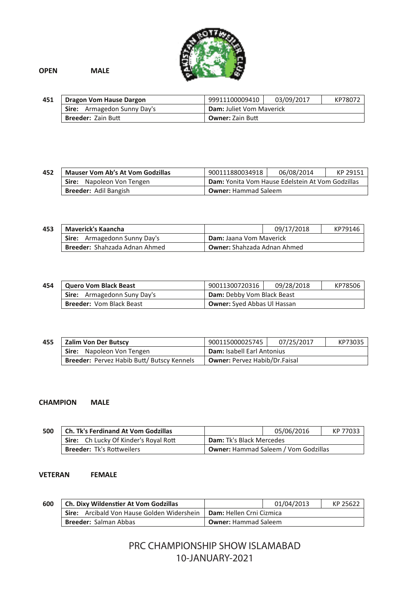

**OPEN MALE**

| 451 | Dragon Vom Hause Dargon            | 99911100009410                  | 03/09/2017 | KP78072 |
|-----|------------------------------------|---------------------------------|------------|---------|
|     | <b>Sire:</b> Armagedon Sunny Day's | <b>Dam: Juliet Vom Maverick</b> |            |         |
|     | <b>Breeder: Zain Butt</b>          | <b>Owner: Zain Butt</b>         |            |         |

**452 Mauser Vom Ab's At Vom Godzillas** 900111880034918 06/08/2014 KP 29151<br> **Sire:** Napoleon Von Tengen **Dam:** Yonita Vom Hause Edelstein At Vom Godzillas **Sire:** Napoleon Von Tengen **Dam:** Yonita Vom Hause Edelstein At Vom Godzillas<br>**Breeder:** Adil Bangish **Dumer:** Hammad Saleem **Owner:** Hammad Saleem

| 453 | <b>Maverick's Kaancha</b>            |                                    | 09/17/2018 | KP79146 |  |
|-----|--------------------------------------|------------------------------------|------------|---------|--|
|     | Sire: Armagedonn Sunny Day's         | Dam: Jaana Vom Maverick            |            |         |  |
|     | <b>Breeder: Shahzada Adnan Ahmed</b> | <b>Owner:</b> Shahzada Adnan Ahmed |            |         |  |

| 454 | <b>Quero Vom Black Beast</b>       | 90011300720316                     | 09/28/2018 | KP78506 |
|-----|------------------------------------|------------------------------------|------------|---------|
|     | <b>Sire:</b> Armagedonn Suny Day's | Dam: Debby Vom Black Beast         |            |         |
|     | <b>Breeder: Vom Black Beast</b>    | <b>Owner:</b> Syed Abbas Ul Hassan |            |         |

| 455 | Zalim Von Der Butscy                                    | 900115000025745                      | 07/25/2017 | KP73035 |
|-----|---------------------------------------------------------|--------------------------------------|------------|---------|
|     | Sire: Napoleon Von Tengen<br>Dam: Isabell Earl Antonius |                                      |            |         |
|     | Breeder: Pervez Habib Butt/ Butscy Kennels              | <b>Owner: Pervez Habib/Dr.Faisal</b> |            |         |

#### **CHAMPION MALE**

| 500 | Ch. Tk's Ferdinand At Vom Godzillas   |                                             | 05/06/2016 | KP 77033 |
|-----|---------------------------------------|---------------------------------------------|------------|----------|
|     | Sire: Ch Lucky Of Kinder's Royal Rott | <b>Dam:</b> Tk's Black Mercedes             |            |          |
|     | <b>Breeder: Tk's Rottweilers</b>      | <b>Owner: Hammad Saleem / Vom Godzillas</b> |            |          |

#### **VETERAN FEMALE**

| 600 | Ch. Dixy Wildenstier At Vom Godzillas      |                             | 01/04/2013 | KP 25622 |
|-----|--------------------------------------------|-----------------------------|------------|----------|
|     | Sire: Arcibald Von Hause Golden Widershein | Dam: Hellen Crni Cizmica    |            |          |
|     | <b>Breeder: Salman Abbas</b>               | <b>Owner: Hammad Saleem</b> |            |          |